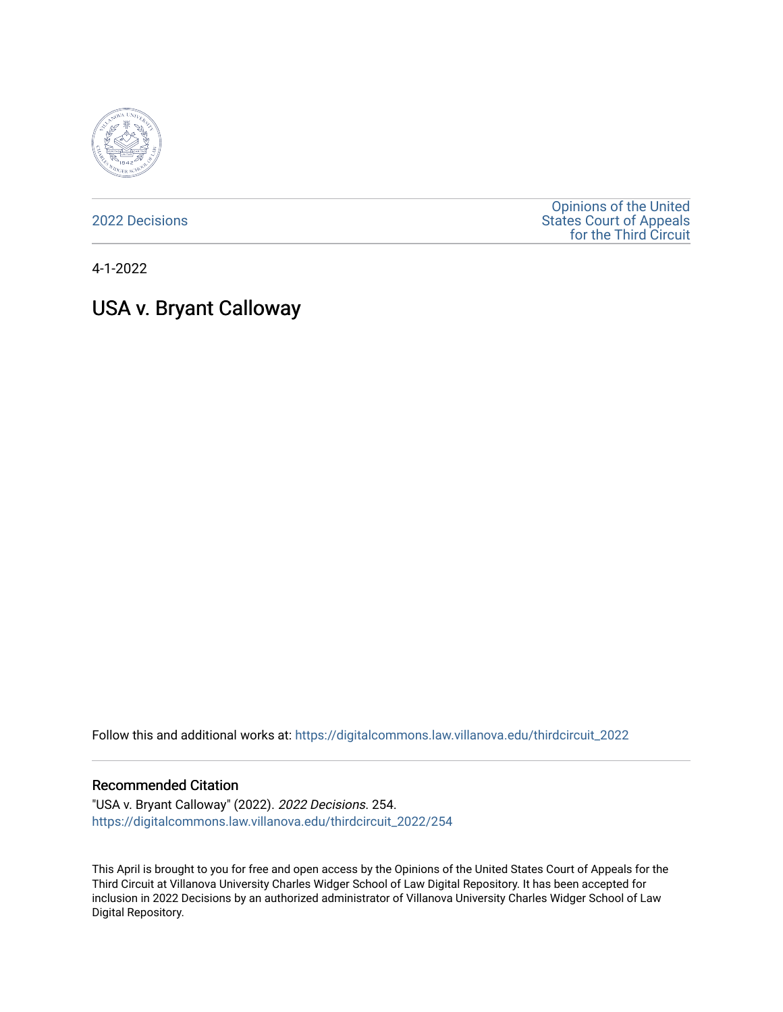

[2022 Decisions](https://digitalcommons.law.villanova.edu/thirdcircuit_2022)

[Opinions of the United](https://digitalcommons.law.villanova.edu/thirdcircuit)  [States Court of Appeals](https://digitalcommons.law.villanova.edu/thirdcircuit)  [for the Third Circuit](https://digitalcommons.law.villanova.edu/thirdcircuit) 

4-1-2022

# USA v. Bryant Calloway

Follow this and additional works at: [https://digitalcommons.law.villanova.edu/thirdcircuit\\_2022](https://digitalcommons.law.villanova.edu/thirdcircuit_2022?utm_source=digitalcommons.law.villanova.edu%2Fthirdcircuit_2022%2F254&utm_medium=PDF&utm_campaign=PDFCoverPages) 

#### Recommended Citation

"USA v. Bryant Calloway" (2022). 2022 Decisions. 254. [https://digitalcommons.law.villanova.edu/thirdcircuit\\_2022/254](https://digitalcommons.law.villanova.edu/thirdcircuit_2022/254?utm_source=digitalcommons.law.villanova.edu%2Fthirdcircuit_2022%2F254&utm_medium=PDF&utm_campaign=PDFCoverPages)

This April is brought to you for free and open access by the Opinions of the United States Court of Appeals for the Third Circuit at Villanova University Charles Widger School of Law Digital Repository. It has been accepted for inclusion in 2022 Decisions by an authorized administrator of Villanova University Charles Widger School of Law Digital Repository.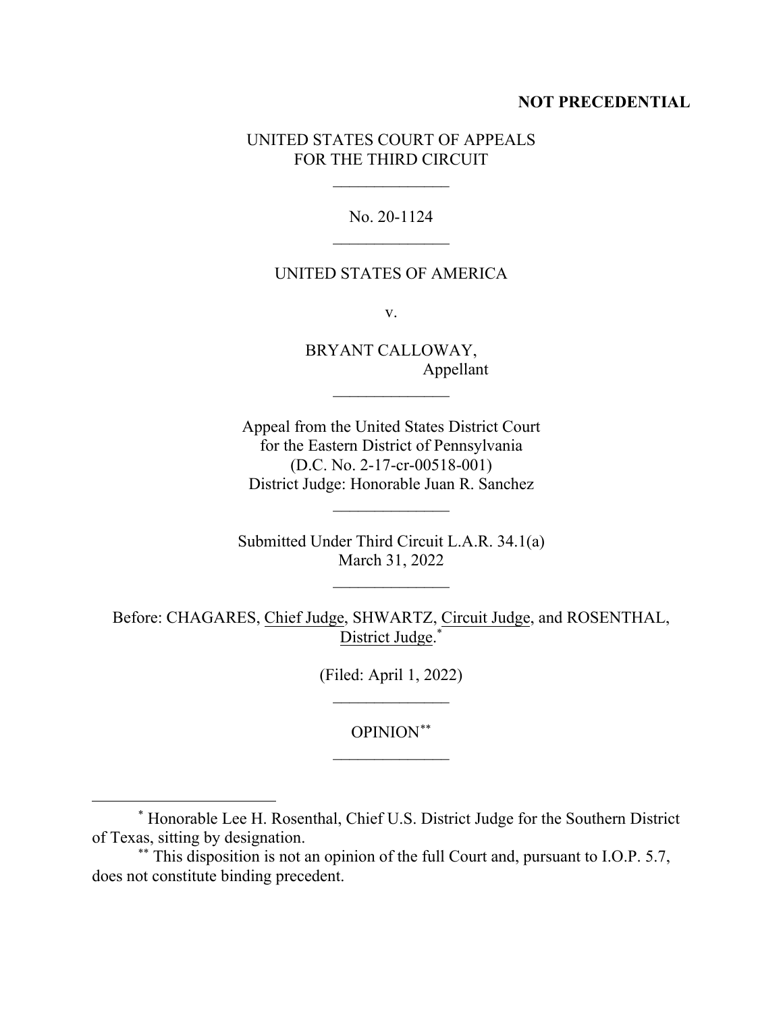## **NOT PRECEDENTIAL**

## UNITED STATES COURT OF APPEALS FOR THE THIRD CIRCUIT

 $\frac{1}{2}$ 

No. 20-1124  $\overline{\phantom{a}}$ 

#### UNITED STATES OF AMERICA

v.

BRYANT CALLOWAY, Appellant

 $\frac{1}{2}$ 

Appeal from the United States District Court for the Eastern District of Pennsylvania (D.C. No. 2-17-cr-00518-001) District Judge: Honorable Juan R. Sanchez

 $\overline{\phantom{a}}$  , where  $\overline{\phantom{a}}$ 

Submitted Under Third Circuit L.A.R. 34.1(a) March 31, 2022

 $\frac{1}{2}$ 

Before: CHAGARES, Chief Judge, SHWARTZ, Circuit Judge, and ROSENTHAL, District Judge.[\\*](#page-1-0)

> (Filed: April 1, 2022)  $\overline{\phantom{a}}$

> > OPINION[\\*\\*](#page-1-1)  $\frac{1}{2}$

<span id="page-1-0"></span><sup>\*</sup> Honorable Lee H. Rosenthal, Chief U.S. District Judge for the Southern District of Texas, sitting by designation.

<span id="page-1-1"></span><sup>\*\*</sup> This disposition is not an opinion of the full Court and, pursuant to I.O.P. 5.7, does not constitute binding precedent.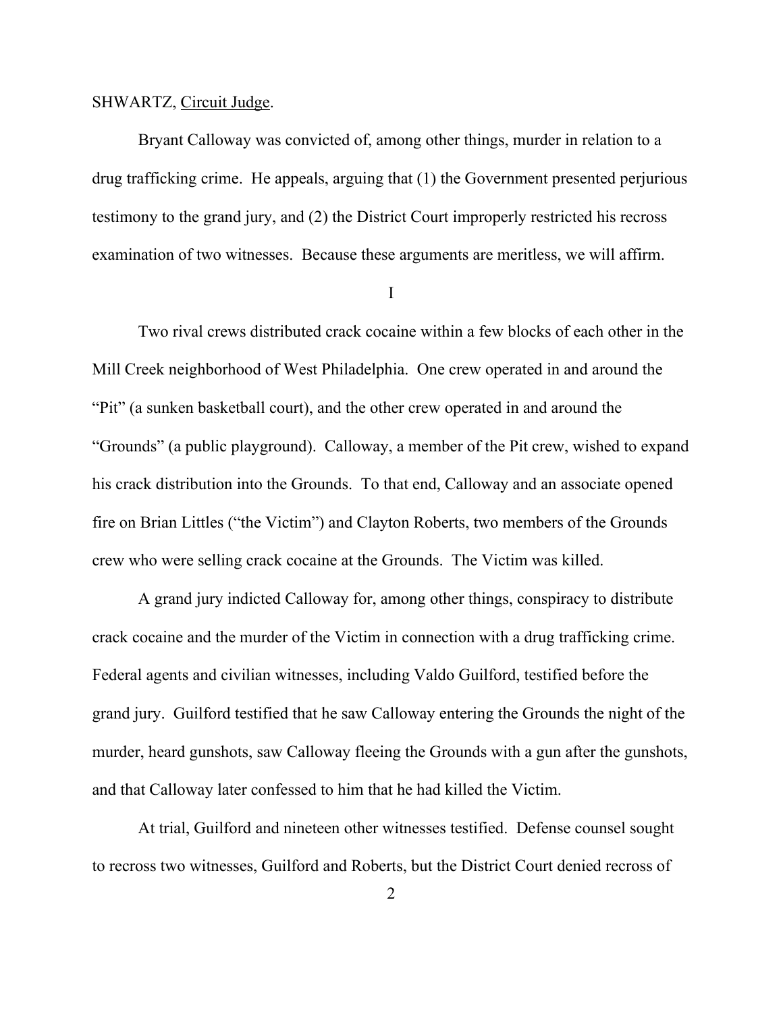#### SHWARTZ, Circuit Judge.

Bryant Calloway was convicted of, among other things, murder in relation to a drug trafficking crime. He appeals, arguing that (1) the Government presented perjurious testimony to the grand jury, and (2) the District Court improperly restricted his recross examination of two witnesses. Because these arguments are meritless, we will affirm.

I

Two rival crews distributed crack cocaine within a few blocks of each other in the Mill Creek neighborhood of West Philadelphia. One crew operated in and around the "Pit" (a sunken basketball court), and the other crew operated in and around the "Grounds" (a public playground). Calloway, a member of the Pit crew, wished to expand his crack distribution into the Grounds. To that end, Calloway and an associate opened fire on Brian Littles ("the Victim") and Clayton Roberts, two members of the Grounds crew who were selling crack cocaine at the Grounds. The Victim was killed.

A grand jury indicted Calloway for, among other things, conspiracy to distribute crack cocaine and the murder of the Victim in connection with a drug trafficking crime. Federal agents and civilian witnesses, including Valdo Guilford, testified before the grand jury. Guilford testified that he saw Calloway entering the Grounds the night of the murder, heard gunshots, saw Calloway fleeing the Grounds with a gun after the gunshots, and that Calloway later confessed to him that he had killed the Victim.

At trial, Guilford and nineteen other witnesses testified.Defense counsel sought to recross two witnesses, Guilford and Roberts, but the District Court denied recross of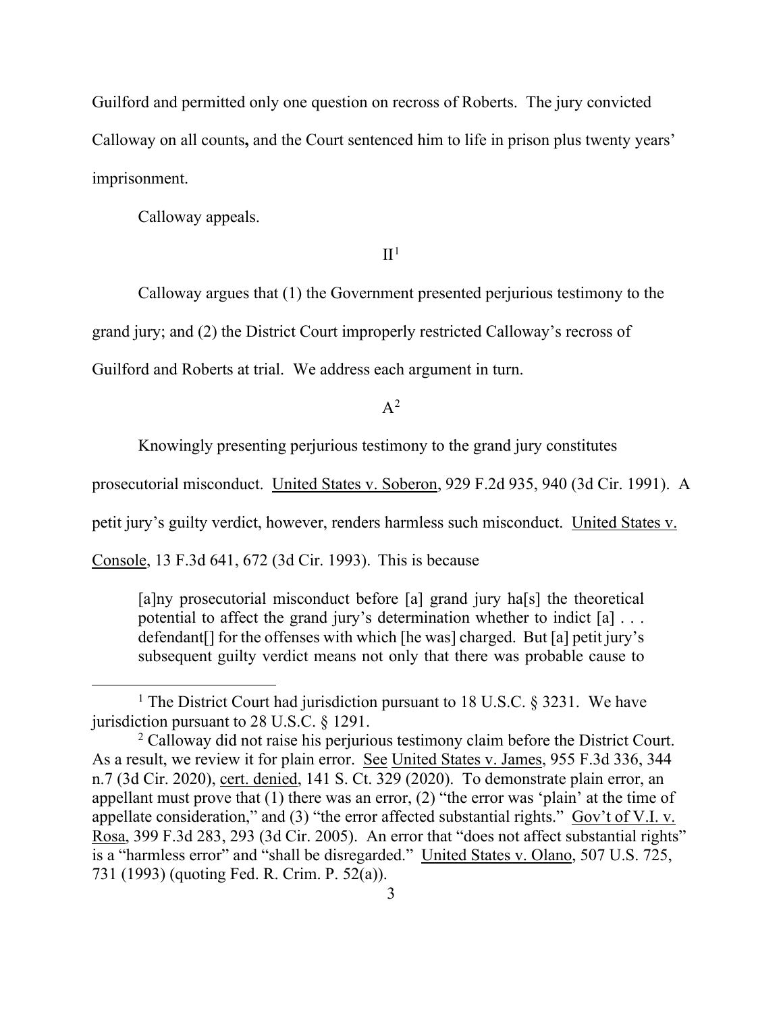Guilford and permitted only one question on recross of Roberts. The jury convicted Calloway on all counts**,** and the Court sentenced him to life in prison plus twenty years' imprisonment.

Calloway appeals.

### $II<sup>1</sup>$  $II<sup>1</sup>$  $II<sup>1</sup>$

Calloway argues that (1) the Government presented perjurious testimony to the

grand jury; and (2) the District Court improperly restricted Calloway's recross of

Guilford and Roberts at trial. We address each argument in turn.

 $A^2$  $A^2$ 

Knowingly presenting perjurious testimony to the grand jury constitutes

prosecutorial misconduct. United States v. Soberon, 929 F.2d 935, 940 (3d Cir. 1991). A

petit jury's guilty verdict, however, renders harmless such misconduct. United States v.

Console, 13 F.3d 641, 672 (3d Cir. 1993). This is because

[a]ny prosecutorial misconduct before [a] grand jury ha[s] the theoretical potential to affect the grand jury's determination whether to indict [a] . . . defendant[] for the offenses with which [he was] charged. But [a] petit jury's subsequent guilty verdict means not only that there was probable cause to

<span id="page-3-0"></span><sup>&</sup>lt;sup>1</sup> The District Court had jurisdiction pursuant to 18 U.S.C.  $\S$  3231. We have jurisdiction pursuant to 28 U.S.C. § 1291.

<span id="page-3-1"></span><sup>&</sup>lt;sup>2</sup> Calloway did not raise his perjurious testimony claim before the District Court. As a result, we review it for plain error. See United States v. James, 955 F.3d 336, 344 n.7 (3d Cir. 2020), cert. denied, 141 S. Ct. 329 (2020). To demonstrate plain error, an appellant must prove that  $(1)$  there was an error,  $(2)$  "the error was 'plain' at the time of appellate consideration," and (3) "the error affected substantial rights." Gov't of V.I. v. Rosa, 399 F.3d 283, 293 (3d Cir. 2005). An error that "does not affect substantial rights" is a "harmless error" and "shall be disregarded." United States v. Olano, 507 U.S. 725, 731 (1993) (quoting Fed. R. Crim. P. 52(a)).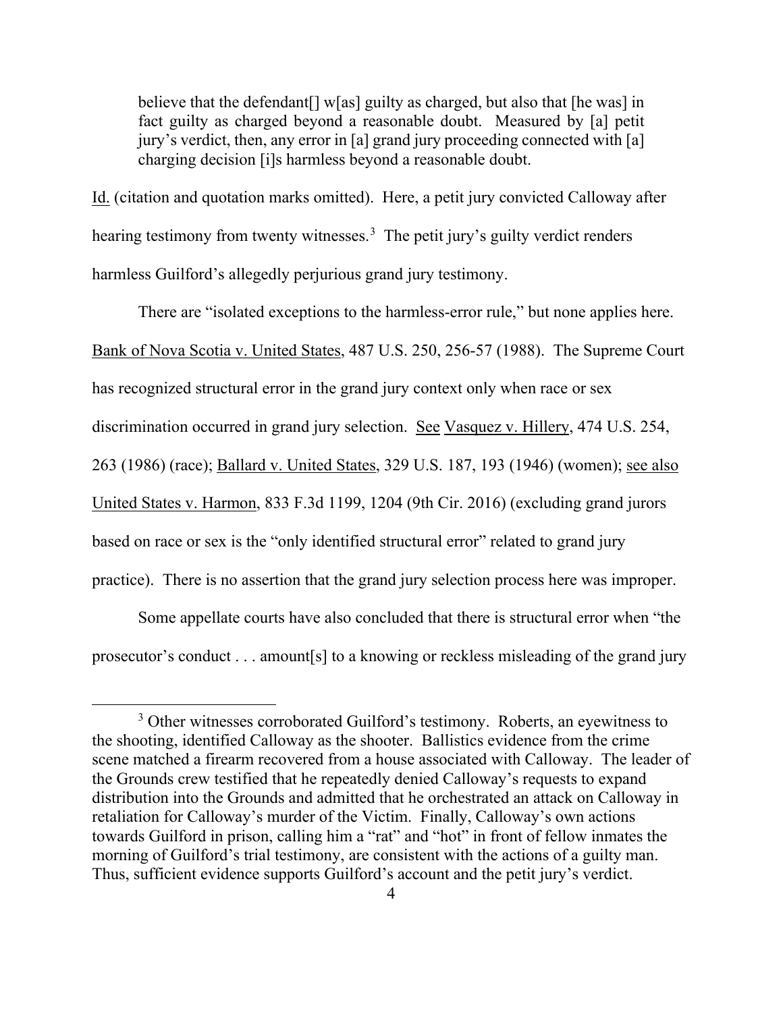believe that the defendant  $\lceil \cdot \sqrt{|\cdot|} \cdot \sqrt{|\cdot|} \rceil$  as charged, but also that  $\lceil \cdot \sqrt{|\cdot|} \cdot \sqrt{|\cdot|} \rceil$ fact guilty as charged beyond a reasonable doubt. Measured by [a] petit jury's verdict, then, any error in [a] grand jury proceeding connected with [a] charging decision [i]s harmless beyond a reasonable doubt.

Id. (citation and quotation marks omitted). Here, a petit jury convicted Calloway after hearing testimony from twenty witnesses.<sup>[3](#page-4-0)</sup> The petit jury's guilty verdict renders harmless Guilford's allegedly perjurious grand jury testimony.

There are "isolated exceptions to the harmless-error rule," but none applies here. Bank of Nova Scotia v. United States, 487 U.S. 250, 256-57 (1988). The Supreme Court has recognized structural error in the grand jury context only when race or sex discrimination occurred in grand jury selection. See Vasquez v. Hillery, 474 U.S. 254, 263 (1986) (race); Ballard v. United States, 329 U.S. 187, 193 (1946) (women); see also United States v. Harmon, 833 F.3d 1199, 1204 (9th Cir. 2016) (excluding grand jurors based on race or sex is the "only identified structural error" related to grand jury practice). There is no assertion that the grand jury selection process here was improper.

Some appellate courts have also concluded that there is structural error when "the prosecutor's conduct . . . amount[s] to a knowing or reckless misleading of the grand jury

<span id="page-4-0"></span><sup>&</sup>lt;sup>3</sup> Other witnesses corroborated Guilford's testimony. Roberts, an eyewitness to the shooting, identified Calloway as the shooter. Ballistics evidence from the crime scene matched a firearm recovered from a house associated with Calloway. The leader of the Grounds crew testified that he repeatedly denied Calloway's requests to expand distribution into the Grounds and admitted that he orchestrated an attack on Calloway in retaliation for Calloway's murder of the Victim. Finally, Calloway's own actions towards Guilford in prison, calling him a "rat" and "hot" in front of fellow inmates the morning of Guilford's trial testimony, are consistent with the actions of a guilty man. Thus, sufficient evidence supports Guilford's account and the petit jury's verdict.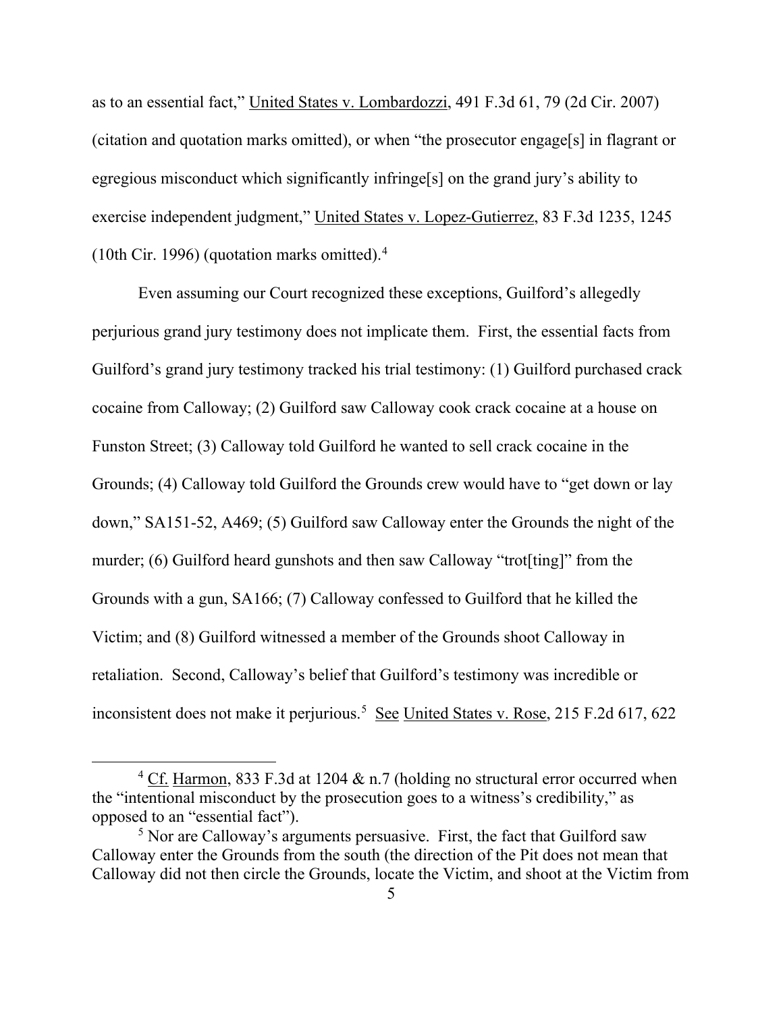as to an essential fact," United States v. Lombardozzi, 491 F.3d 61, 79 (2d Cir. 2007) (citation and quotation marks omitted), or when "the prosecutor engage[s] in flagrant or egregious misconduct which significantly infringe[s] on the grand jury's ability to exercise independent judgment," United States v. Lopez-Gutierrez, 83 F.3d 1235, 1245 (10th Cir. 1996) (quotation marks omitted). [4](#page-5-0)

Even assuming our Court recognized these exceptions, Guilford's allegedly perjurious grand jury testimony does not implicate them. First, the essential facts from Guilford's grand jury testimony tracked his trial testimony: (1) Guilford purchased crack cocaine from Calloway; (2) Guilford saw Calloway cook crack cocaine at a house on Funston Street; (3) Calloway told Guilford he wanted to sell crack cocaine in the Grounds; (4) Calloway told Guilford the Grounds crew would have to "get down or lay down," SA151-52, A469; (5) Guilford saw Calloway enter the Grounds the night of the murder; (6) Guilford heard gunshots and then saw Calloway "trot[ting]" from the Grounds with a gun, SA166; (7) Calloway confessed to Guilford that he killed the Victim; and (8) Guilford witnessed a member of the Grounds shoot Calloway in retaliation. Second, Calloway's belief that Guilford's testimony was incredible or inconsistent does not make it perjurious.<sup>[5](#page-5-1)</sup> See United States v. Rose, 215 F.2d 617, 622

<span id="page-5-0"></span><sup>&</sup>lt;sup>4</sup> Cf. Harmon, 833 F.3d at 1204  $\&$  n.7 (holding no structural error occurred when the "intentional misconduct by the prosecution goes to a witness's credibility," as opposed to an "essential fact").

<span id="page-5-1"></span> $5$  Nor are Calloway's arguments persuasive. First, the fact that Guilford saw Calloway enter the Grounds from the south (the direction of the Pit does not mean that Calloway did not then circle the Grounds, locate the Victim, and shoot at the Victim from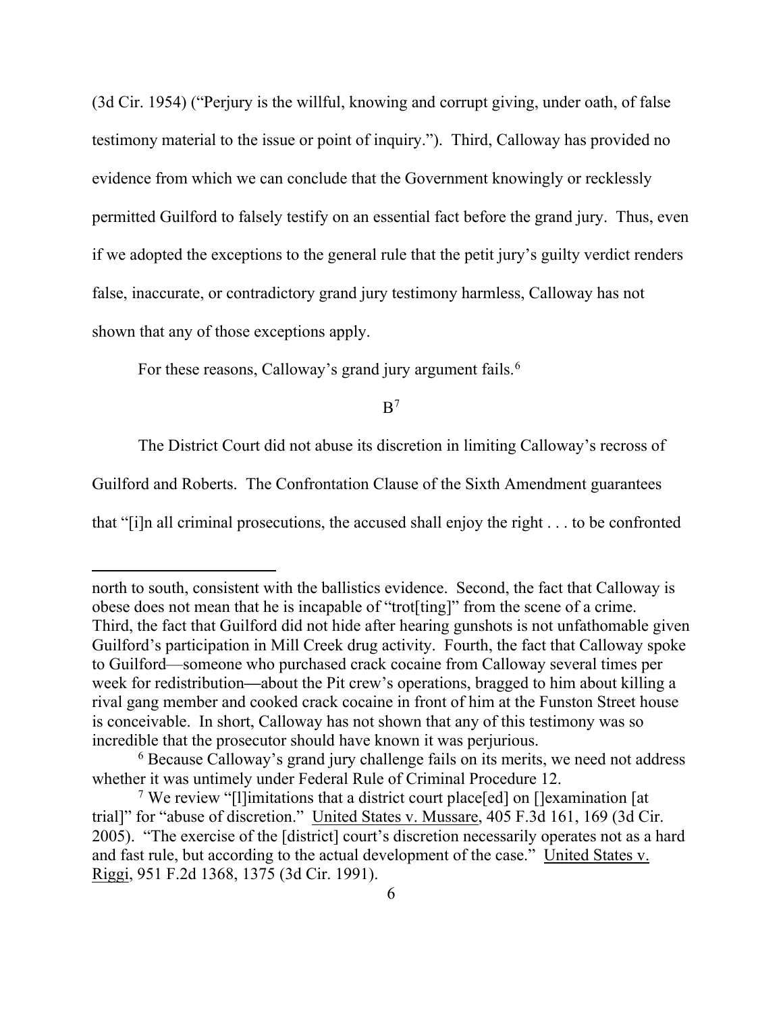(3d Cir. 1954) ("Perjury is the willful, knowing and corrupt giving, under oath, of false testimony material to the issue or point of inquiry."). Third, Calloway has provided no evidence from which we can conclude that the Government knowingly or recklessly permitted Guilford to falsely testify on an essential fact before the grand jury. Thus, even if we adopted the exceptions to the general rule that the petit jury's guilty verdict renders false, inaccurate, or contradictory grand jury testimony harmless, Calloway has not shown that any of those exceptions apply.

For these reasons, Calloway's grand jury argument fails.<sup>[6](#page-6-0)</sup>

 $B<sup>7</sup>$  $B<sup>7</sup>$  $B<sup>7</sup>$ 

The District Court did not abuse its discretion in limiting Calloway's recross of

Guilford and Roberts. The Confrontation Clause of the Sixth Amendment guarantees

that "[i]n all criminal prosecutions, the accused shall enjoy the right . . . to be confronted

north to south, consistent with the ballistics evidence. Second, the fact that Calloway is obese does not mean that he is incapable of "trot[ting]" from the scene of a crime. Third, the fact that Guilford did not hide after hearing gunshots is not unfathomable given Guilford's participation in Mill Creek drug activity. Fourth, the fact that Calloway spoke to Guilford—someone who purchased crack cocaine from Calloway several times per week for redistribution**—**about the Pit crew's operations, bragged to him about killing a rival gang member and cooked crack cocaine in front of him at the Funston Street house is conceivable. In short, Calloway has not shown that any of this testimony was so incredible that the prosecutor should have known it was perjurious.

<span id="page-6-0"></span> $6$  Because Calloway's grand jury challenge fails on its merits, we need not address whether it was untimely under Federal Rule of Criminal Procedure 12.

<span id="page-6-1"></span><sup>7</sup> We review "[l]imitations that a district court place[ed] on []examination [at trial]" for "abuse of discretion." United States v. Mussare, 405 F.3d 161, 169 (3d Cir. 2005). "The exercise of the [district] court's discretion necessarily operates not as a hard and fast rule, but according to the actual development of the case." United States v. Riggi, 951 F.2d 1368, 1375 (3d Cir. 1991).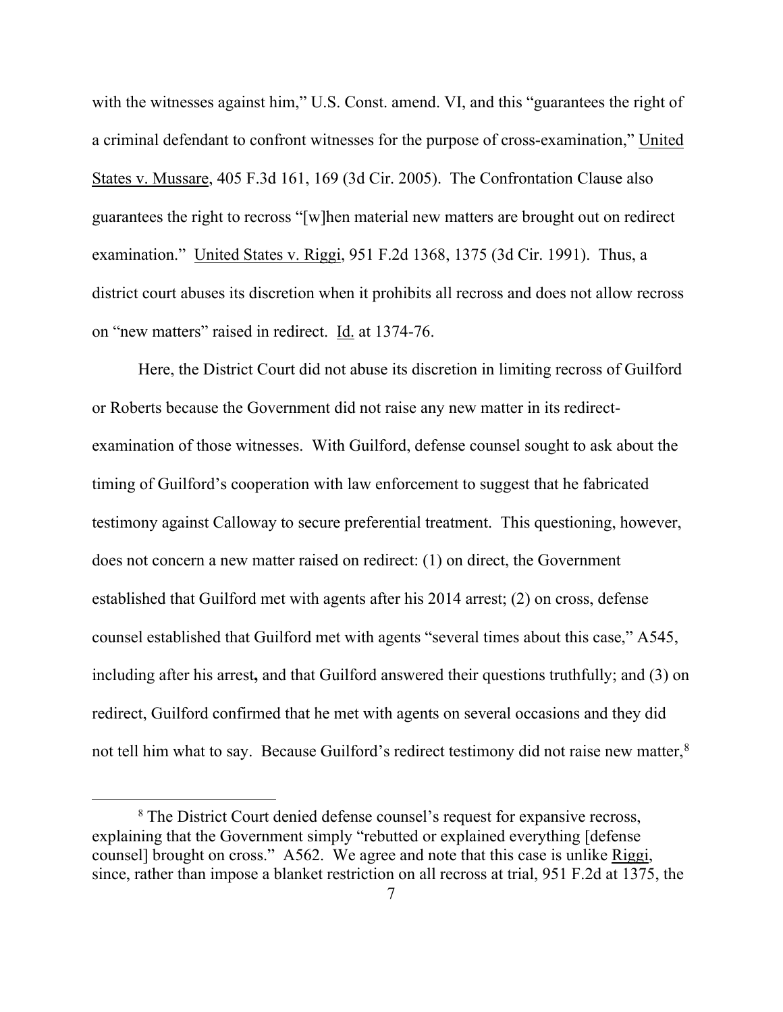with the witnesses against him," U.S. Const. amend. VI, and this "guarantees the right of a criminal defendant to confront witnesses for the purpose of cross-examination," United States v. Mussare, 405 F.3d 161, 169 (3d Cir. 2005). The Confrontation Clause also guarantees the right to recross "[w]hen material new matters are brought out on redirect examination." United States v. Riggi, 951 F.2d 1368, 1375 (3d Cir. 1991). Thus, a district court abuses its discretion when it prohibits all recross and does not allow recross on "new matters" raised in redirect. Id. at 1374-76.

Here, the District Court did not abuse its discretion in limiting recross of Guilford or Roberts because the Government did not raise any new matter in its redirectexamination of those witnesses. With Guilford, defense counsel sought to ask about the timing of Guilford's cooperation with law enforcement to suggest that he fabricated testimony against Calloway to secure preferential treatment. This questioning, however, does not concern a new matter raised on redirect: (1) on direct, the Government established that Guilford met with agents after his 2014 arrest; (2) on cross, defense counsel established that Guilford met with agents "several times about this case," A545, including after his arrest**,** and that Guilford answered their questions truthfully; and (3) on redirect, Guilford confirmed that he met with agents on several occasions and they did not tell him what to say. Because Guilford's redirect testimony did not raise new matter,<sup>[8](#page-7-0)</sup>

<span id="page-7-0"></span><sup>&</sup>lt;sup>8</sup> The District Court denied defense counsel's request for expansive recross, explaining that the Government simply "rebutted or explained everything [defense counsel] brought on cross." A562. We agree and note that this case is unlike Riggi, since, rather than impose a blanket restriction on all recross at trial, 951 F.2d at 1375, the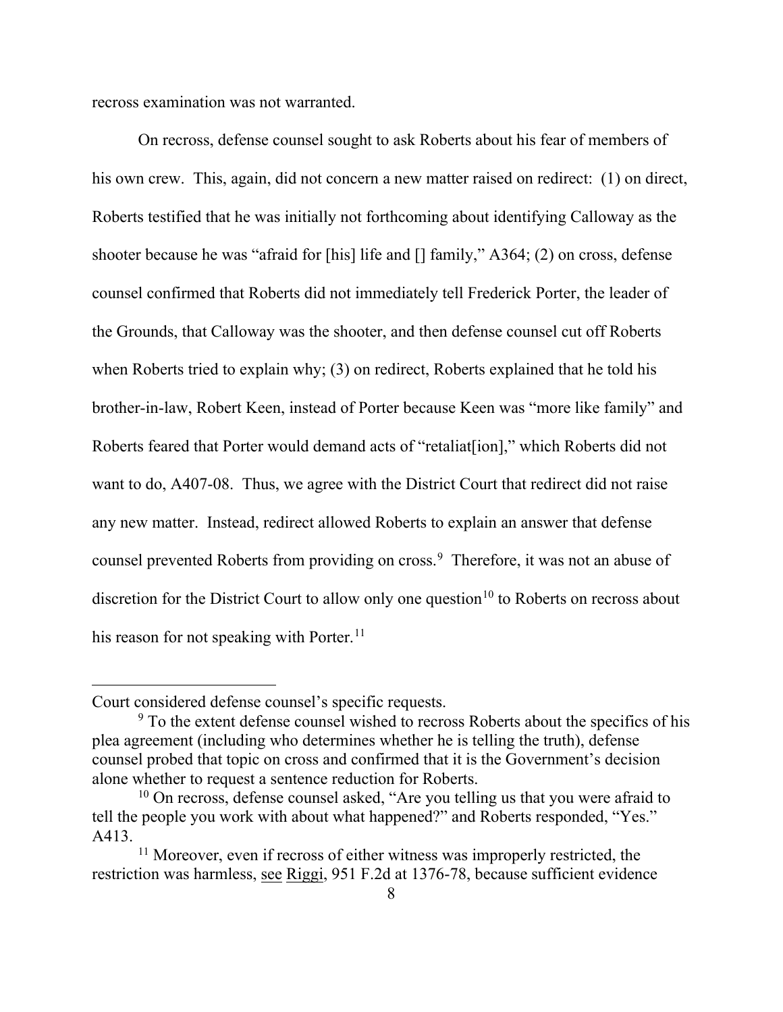recross examination was not warranted.

On recross, defense counsel sought to ask Roberts about his fear of members of his own crew. This, again, did not concern a new matter raised on redirect: (1) on direct, Roberts testified that he was initially not forthcoming about identifying Calloway as the shooter because he was "afraid for [his] life and [] family," A364; (2) on cross, defense counsel confirmed that Roberts did not immediately tell Frederick Porter, the leader of the Grounds, that Calloway was the shooter, and then defense counsel cut off Roberts when Roberts tried to explain why; (3) on redirect, Roberts explained that he told his brother-in-law, Robert Keen, instead of Porter because Keen was "more like family" and Roberts feared that Porter would demand acts of "retaliat[ion]," which Roberts did not want to do, A407-08. Thus, we agree with the District Court that redirect did not raise any new matter. Instead, redirect allowed Roberts to explain an answer that defense counsel prevented Roberts from providing on cross. [9](#page-8-0) Therefore, it was not an abuse of discretion for the District Court to allow only one question<sup>[10](#page-8-1)</sup> to Roberts on recross about his reason for not speaking with Porter.<sup>[11](#page-8-2)</sup>

Court considered defense counsel's specific requests.

<span id="page-8-0"></span><sup>&</sup>lt;sup>9</sup> To the extent defense counsel wished to recross Roberts about the specifics of his plea agreement (including who determines whether he is telling the truth), defense counsel probed that topic on cross and confirmed that it is the Government's decision alone whether to request a sentence reduction for Roberts. 10 On recross, defense counsel asked, "Are you telling us that you were afraid to

<span id="page-8-1"></span>tell the people you work with about what happened?" and Roberts responded, "Yes." A413.

<span id="page-8-2"></span><sup>&</sup>lt;sup>11</sup> Moreover, even if recross of either witness was improperly restricted, the restriction was harmless, see Riggi, 951 F.2d at 1376-78, because sufficient evidence